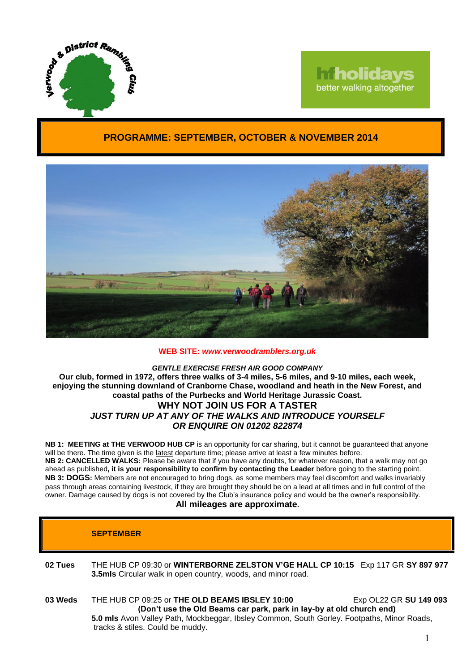

# **Tholidays** better walking altogether

# **PROGRAMME: SEPTEMBER, OCTOBER & NOVEMBER 2014**



## **WEB SITE:** *[www.verwoodramblers.org.uk](http://www.verwoodramblers.org.uk/)*

#### *GENTLE EXERCISE FRESH AIR GOOD COMPANY* **Our club, formed in 1972, offers three walks of 3-4 miles, 5-6 miles, and 9-10 miles, each week, enjoying the stunning downland of Cranborne Chase, woodland and heath in the New Forest, and coastal paths of the Purbecks and World Heritage Jurassic Coast. WHY NOT JOIN US FOR A TASTER** *JUST TURN UP AT ANY OF THE WALKS AND INTRODUCE YOURSELF*

*OR ENQUIRE ON 01202 822874*

**NB 1: MEETING at THE VERWOOD HUB CP** is an opportunity for car sharing, but it cannot be guaranteed that anyone will be there. The time given is the latest departure time; please arrive at least a few minutes before. **NB 2: CANCELLED WALKS:** Please be aware that if you have any doubts, for whatever reason, that a walk may not go ahead as published**, it is your responsibility to confirm by contacting the Leader** before going to the starting point. **NB 3: DOGS:** Members are not encouraged to bring dogs, as some members may feel discomfort and walks invariably pass through areas containing livestock, if they are brought they should be on a lead at all times and in full control of the owner. Damage caused by dogs is not covered by the Club's insurance policy and would be the owner's responsibility.

# **All mileages are approximate.**

|         | <b>SEPTEMBER</b>                                                                                                                                 |  |
|---------|--------------------------------------------------------------------------------------------------------------------------------------------------|--|
| 02 Tues | THE HUB CP 09:30 or WINTERBORNE ZELSTON V'GE HALL CP 10:15 Exp 117 GR SY 897 977<br>3.5mls Circular walk in open country, woods, and minor road. |  |

**03 Weds** THE HUB CP 09:25 or **THE OLD BEAMS IBSLEY 10:00** Exp OL22 GR **SU 149 093 (Don't use the Old Beams car park, park in lay-by at old church end) 5.0 mls** Avon Valley Path, Mockbeggar, Ibsley Common, South Gorley. Footpaths, Minor Roads, tracks & stiles. Could be muddy.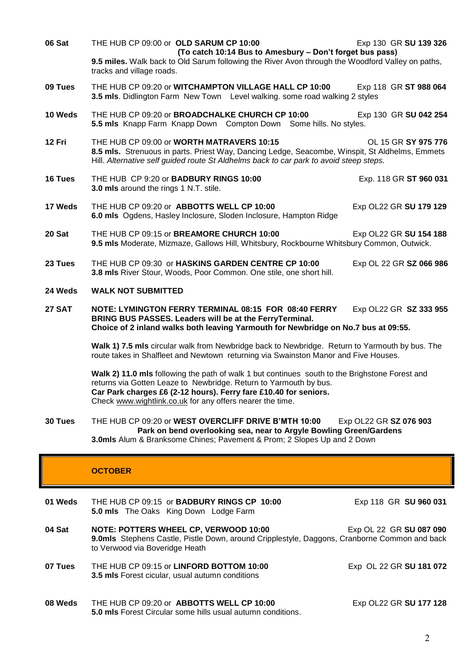- **06 Sat THE HUB CP 09:00 or OLD SARUM CP 10:00 <b>EXP 10:00** Exp 130 GR SU 139 326 **(To catch 10:14 Bus to Amesbury – Don't forget bus pass) 9.5 miles.** Walk back to Old Sarum following the River Avon through the Woodford Valley on paths, tracks and village roads. **09 Tues** THE HUB CP 09:20 or **WITCHAMPTON VILLAGE HALL CP 10:00** Exp 118 GR **ST 988 064 3.5 mls**. Didlington Farm New Town Level walking. some road walking 2 styles **10 Weds** THE HUB CP 09:20 or **BROADCHALKE CHURCH CP 10:00** Exp 130 GR SU 042 254 **5.5 mls** Knapp Farm Knapp Down Compton Down Some hills. No styles. **12 Fri** THE HUB CP 09:00 or **WORTH MATRAVERS 10:15** OL 15 GR **SY 975 776 8.5 mls.** Strenuous in parts. Priest Way, Dancing Ledge, Seacombe, Winspit, St Aldhelms, Emmets Hill. *Alternative self guided route St Aldhelms back to car park to avoid steep steps.* **16 Tues** THE HUB CP 9:20 or **BADBURY RINGS 10:00** Exp. 118 GR **ST 960 031 3.0 mls** around the rings 1 N.T. stile. **17 Weds** THE HUB CP 09:20 or **ABBOTTS WELL CP 10:00** Exp OL22 GR SU 179 129 **6.0 mls** Ogdens, Hasley Inclosure, Sloden Inclosure, Hampton Ridge **20 Sat** THE HUB CP 09:15 or **BREAMORE CHURCH 10:00** Exp OL22 GR **SU 154 188 9.5 mls** Moderate, Mizmaze, Gallows Hill, Whitsbury, Rockbourne Whitsbury Common, Outwick. **23 Tues** THE HUB CP 09:30 or **HASKINS GARDEN CENTRE CP 10:00** Exp OL 22 GR **SZ 066 986 3.8 mls** River Stour, Woods, Poor Common. One stile, one short hill. **24 Weds WALK NOT SUBMITTED 27 SAT NOTE: LYMINGTON FERRY TERMINAL 08:15 FOR 08:40 FERRY** Exp OL22 GR **SZ 333 955 BRING BUS PASSES. Leaders will be at the FerryTerminal. Choice of 2 inland walks both leaving Yarmouth for Newbridge on No.7 bus at 09:55. Walk 1) 7.5 mls** circular walk from Newbridge back to Newbridge. Return to Yarmouth by bus. The route takes in Shalfleet and Newtown returning via Swainston Manor and Five Houses. **Walk 2) 11.0 mls** following the path of walk 1 but continues south to the Brighstone Forest and returns via Gotten Leaze to Newbridge. Return to Yarmouth by bus. **Car Park charges £6 (2-12 hours). Ferry fare £10.40 for seniors.**  Check [www.wightlink.co.uk](http://www.wightlink.co.uk/) for any offers nearer the time. **30 Tues** THE HUB CP 09:20 or **WEST OVERCLIFF DRIVE B'MTH 10:00** Exp OL22 GR **SZ 076 903 Park on bend overlooking sea, near to Argyle Bowling Green/Gardens 3.0mls** Alum & Branksome Chines; Pavement & Prom; 2 Slopes Up and 2 Down **OCTOBER**
- **01 Weds** THE HUB CP 09:15 or **BADBURY RINGS CP 10:00** Exp 118 GR **SU 960 031 5.0 mls** The Oaks King Down Lodge Farm **04 Sat NOTE: POTTERS WHEEL CP, VERWOOD 10:00** Exp OL 22 GR **SU 087 090 9.0mls** Stephens Castle, Pistle Down, around Cripplestyle, Daggons, Cranborne Common and back to Verwood via Boveridge Heath **07 Tues** THE HUB CP 09:15 or **LINFORD BOTTOM 10:00** ExpOL 22 GR **SU 181 072 3.5 mls** Forest cicular, usual autumn conditions **08 Weds** THE HUB CP 09:20 or **ABBOTTS WELL CP 10:00** Exp OL22 GR **SU 177 128 5.0 mls** Forest Circular some hills usual autumn conditions.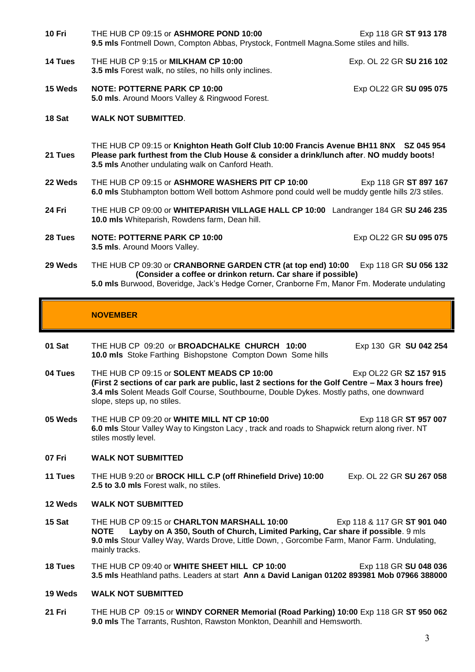- **10 Fri** THE HUB CP 09:15 or **ASHMORE POND 10:00** Exp 118 GR **ST 913 178 9.5 mls** Fontmell Down, Compton Abbas, Prystock, Fontmell Magna.Some stiles and hills.
- **14 Tues** THE HUB CP 9:15 or **MILKHAM CP 10:00** Exp. OL 22 GR **SU 216 102 3.5 mls** Forest walk, no stiles, no hills only inclines.
- **15 Weds NOTE: POTTERNE PARK CP 10:00** Exp OL22 GR **SU 095 075 5.0 mls**. Around Moors Valley & Ringwood Forest.
- **18 Sat WALK NOT SUBMITTED**.
- **21 Tues** THE HUB CP 09:15 or **Knighton Heath Golf Club 10:00 Francis Avenue BH11 8NX SZ 045 954 Please park furthest from the Club House & consider a drink/lunch after**. **NO muddy boots! 3.5 mls** Another undulating walk on Canford Heath.
- **22 Weds** THE HUB CP 09:15 or **ASHMORE WASHERS PIT CP 10:00** Exp 118 GR **ST 897 167 6.0 mls** Stubhampton bottom Well bottom Ashmore pond could well be muddy gentle hills 2/3 stiles.
- **24 Fri** THE HUB CP 09:00 or **WHITEPARISH VILLAGE HALL CP 10:00** Landranger 184 GR **SU 246 235 10.0 mls** Whiteparish, Rowdens farm, Dean hill.
- **28 Tues NOTE: POTTERNE PARK CP 10:00** Exp OL22 GR **SU 095 075 3.5 mls**. Around Moors Valley.

**29 Weds** THE HUB CP 09:30 or **CRANBORNE GARDEN CTR (at top end) 10:00** Exp 118 GR **SU 056 132 (Consider a coffee or drinkon return. Car share if possible) 5.0 mls** Burwood, Boveridge, Jack's Hedge Corner, Cranborne Fm, Manor Fm. Moderate undulating

# **NOVEMBER**

**01 Sat** THE HUB CP 09:20 or **BROADCHALKE CHURCH 10:00** Exp 130 GR **SU 042 254 10.0 mls** Stoke Farthing Bishopstone Compton Down Some hills

- **04 Tues** THE HUB CP 09:15 or **SOLENT MEADS CP 10:00** Exp OL22 GR **SZ 157 915 (First 2 sections of car park are public, last 2 sections for the Golf Centre – Max 3 hours free) 3.4 mls** Solent Meads Golf Course, Southbourne, Double Dykes. Mostly paths, one downward slope, steps up, no stiles.
- **05 Weds** THE HUB CP 09:20 or **WHITE MILL NT CP 10:00** Exp 118 GR ST 957 007 **6.0 mls** Stour Valley Way to Kingston Lacy , track and roads to Shapwick return along river. NT stiles mostly level.

# **07 Fri WALK NOT SUBMITTED**

**11 Tues** THE HUB 9:20 or **BROCK HILL C.P (off Rhinefield Drive) 10:00** Exp. OL 22 GR **SU 267 058 2.5 to 3.0 mls** Forest walk, no stiles.

- **12 Weds WALK NOT SUBMITTED**
- **15 Sat** THE HUB CP 09:15 or **CHARLTON MARSHALL 10:00** Exp 118 & 117 GR **ST 901 040 NOTE Layby on A 350, South of Church, Limited Parking, Car share if possible**. 9 mls **9.0 mls** Stour Valley Way, Wards Drove, Little Down, , Gorcombe Farm, Manor Farm. Undulating, mainly tracks.
- **18 Tues** THE HUB CP 09:40 or **WHITE SHEET HILL CP 10:00** Exp 118 GR **SU 048 036 3.5 mls** Heathland paths. Leaders at start **Ann & David Lanigan 01202 893981 Mob 07966 388000**
- **19 Weds WALK NOT SUBMITTED**
- **21 Fri** THE HUB CP 09:15 or **WINDY CORNER Memorial (Road Parking) 10:00** Exp 118 GR **ST 950 062 9.0 mls** The Tarrants, Rushton, Rawston Monkton, Deanhill and Hemsworth.